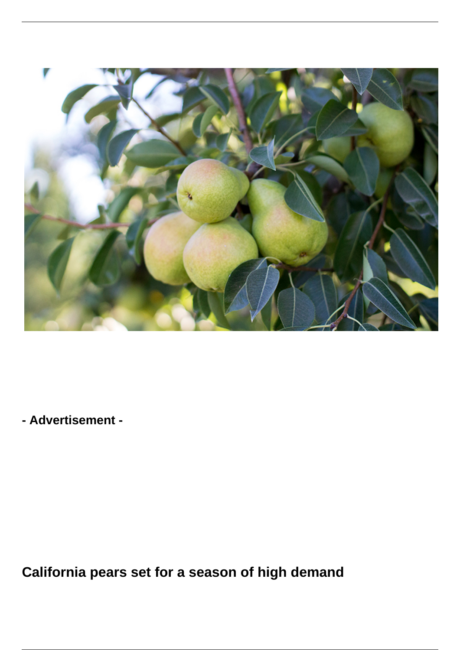

**- Advertisement -**

**California pears set for a season of high demand**